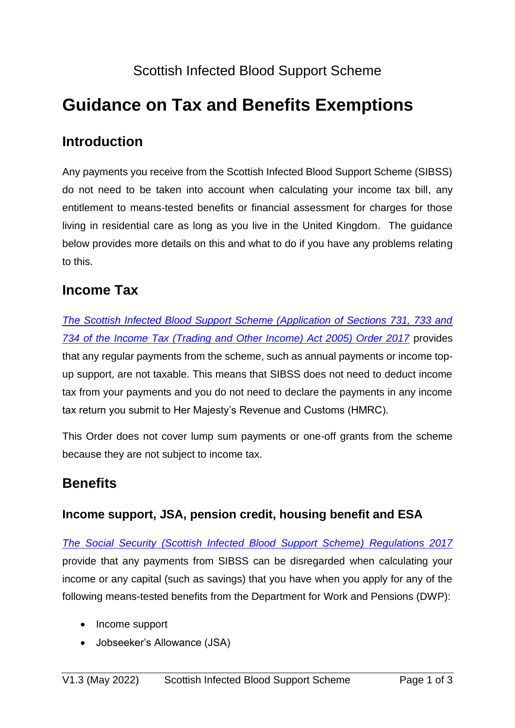## Scottish Infected Blood Support Scheme

# **Guidance on Tax and Benefits Exemptions**

### **Introduction**

Any payments you receive from the Scottish Infected Blood Support Scheme (SIBSS) do not need to be taken into account when calculating your income tax bill, any entitlement to means-tested benefits or financial assessment for charges for those living in residential care as long as you live in the United Kingdom. The guidance below provides more details on this and what to do if you have any problems relating to this.

### **Income Tax**

*[The Scottish Infected Blood Support Scheme \(Application of Sections 731, 733 and](http://www.legislation.gov.uk/uksi/2017/446/contents/made)  [734 of the Income Tax \(Trading and Other Income\) Act 2005\) Order 2017](http://www.legislation.gov.uk/uksi/2017/446/contents/made)* provides that any regular payments from the scheme, such as annual payments or income topup support, are not taxable. This means that SIBSS does not need to deduct income tax from your payments and you do not need to declare the payments in any income tax return you submit to Her Majesty's Revenue and Customs (HMRC).

This Order does not cover lump sum payments or one-off grants from the scheme because they are not subject to income tax.

### **Benefits**

#### **Income support, JSA, pension credit, housing benefit and ESA**

*[The Social Security \(Scottish Infected Blood Support Scheme\) Regulations 2017](http://www.legislation.gov.uk/uksi/2017/329/contents/made)* provide that any payments from SIBSS can be disregarded when calculating your income or any capital (such as savings) that you have when you apply for any of the following means-tested benefits from the Department for Work and Pensions (DWP):

- Income support
- Jobseeker's Allowance (JSA)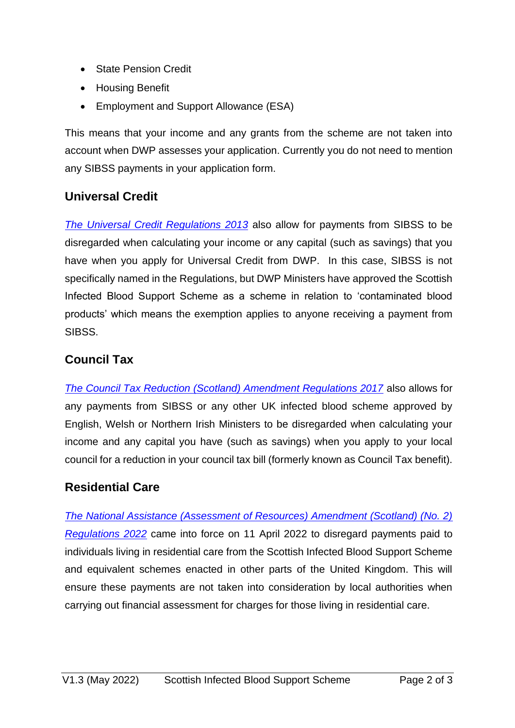- State Pension Credit
- Housing Benefit
- Employment and Support Allowance (ESA)

This means that your income and any grants from the scheme are not taken into account when DWP assesses your application. Currently you do not need to mention any SIBSS payments in your application form.

#### **Universal Credit**

*[The Universal Credit Regulations 2013](http://www.legislation.gov.uk/uksi/2013/376/contents/made)* also allow for payments from SIBSS to be disregarded when calculating your income or any capital (such as savings) that you have when you apply for Universal Credit from DWP. In this case, SIBSS is not specifically named in the Regulations, but DWP Ministers have approved the Scottish Infected Blood Support Scheme as a scheme in relation to 'contaminated blood products' which means the exemption applies to anyone receiving a payment from SIBSS.

#### **Council Tax**

*[The Council Tax Reduction \(Scotland\) Amendment Regulations 2017](http://www.legislation.gov.uk/ssi/2017/41/contents/made)* also allows for any payments from SIBSS or any other UK infected blood scheme approved by English, Welsh or Northern Irish Ministers to be disregarded when calculating your income and any capital you have (such as savings) when you apply to your local council for a reduction in your council tax bill (formerly known as Council Tax benefit).

#### **Residential Care**

*[The National Assistance \(Assessment of Resources\) Amendment \(Scotland\) \(No. 2\)](https://www.legislation.gov.uk/ssi/2022/72/contents/made)  [Regulations 2022](https://www.legislation.gov.uk/ssi/2022/72/contents/made)* came into force on 11 April 2022 to disregard payments paid to individuals living in residential care from the Scottish Infected Blood Support Scheme and equivalent schemes enacted in other parts of the United Kingdom. This will ensure these payments are not taken into consideration by local authorities when carrying out financial assessment for charges for those living in residential care.